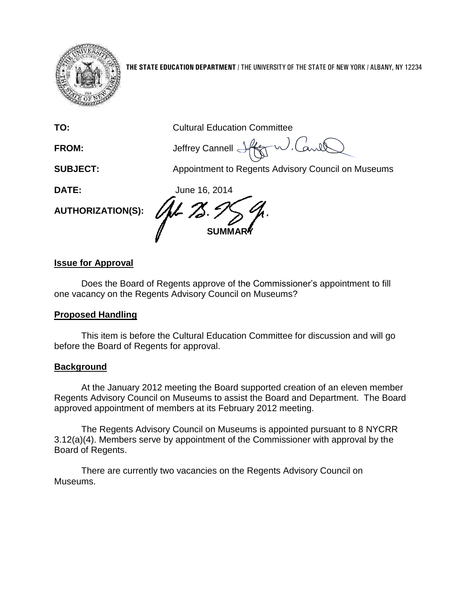

**THE STATE EDUCATION DEPARTMENT** / THE UNIVERSITY OF THE STATE OF NEW YORK / ALBANY, NY 12234

| TO:                      | <b>Cultural Education Committee</b>                |
|--------------------------|----------------------------------------------------|
| <b>FROM:</b>             | Jeffrey Cannell Aft                                |
| <b>SUBJECT:</b>          | Appointment to Regents Advisory Council on Museums |
| DATE:                    | June 16, 2014                                      |
| <b>AUTHORIZATION(S):</b> |                                                    |
|                          | <b>SUN</b>                                         |

# **Issue for Approval**

Does the Board of Regents approve of the Commissioner's appointment to fill one vacancy on the Regents Advisory Council on Museums?

## **Proposed Handling**

This item is before the Cultural Education Committee for discussion and will go before the Board of Regents for approval.

## **Background**

At the January 2012 meeting the Board supported creation of an eleven member Regents Advisory Council on Museums to assist the Board and Department. The Board approved appointment of members at its February 2012 meeting.

The Regents Advisory Council on Museums is appointed pursuant to 8 NYCRR 3.12(a)(4). Members serve by appointment of the Commissioner with approval by the Board of Regents.

There are currently two vacancies on the Regents Advisory Council on Museums.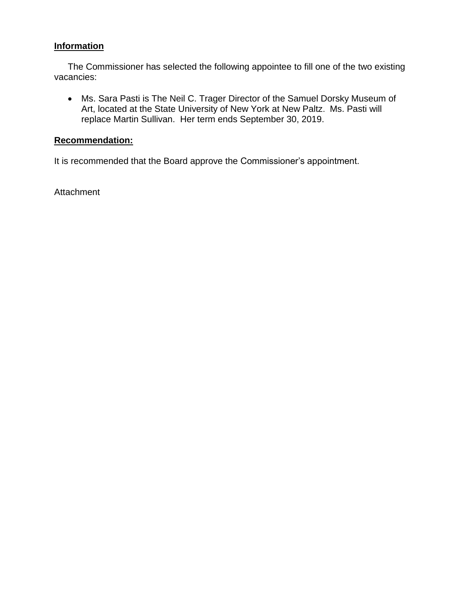# **Information**

The Commissioner has selected the following appointee to fill one of the two existing vacancies:

 Ms. Sara Pasti is The Neil C. Trager Director of the Samuel Dorsky Museum of Art, located at the State University of New York at New Paltz. Ms. Pasti will replace Martin Sullivan. Her term ends September 30, 2019.

### **Recommendation:**

It is recommended that the Board approve the Commissioner's appointment.

**Attachment**